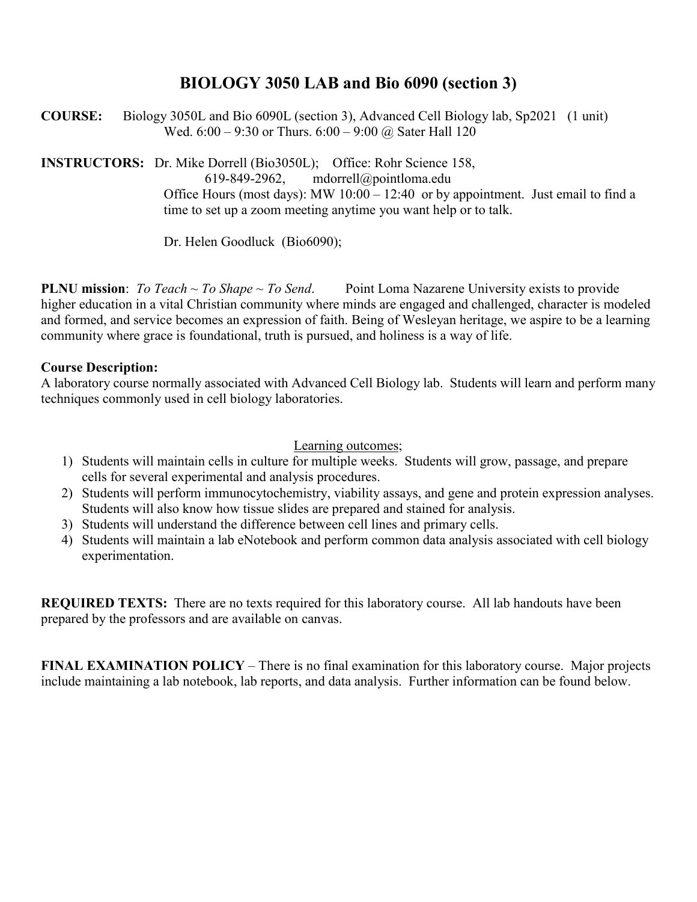# **BIOLOGY 3050 LAB and Bio 6090 (section 3)**

**COURSE:** Biology 3050L and Bio 6090L (section 3), Advanced Cell Biology lab, Sp2021 (1 unit) Wed.  $6:00 - 9:30$  or Thurs.  $6:00 - 9:00$  @ Sater Hall 120

**INSTRUCTORS:** Dr. Mike Dorrell (Bio3050L); Office: Rohr Science 158, 619-849-2962, mdorrell@pointloma.edu

Office Hours (most days): MW 10:00 – 12:40 or by appointment. Just email to find a time to set up a zoom meeting anytime you want help or to talk.

Dr. Helen Goodluck (Bio6090);

**PLNU mission**: *To Teach ~ To Shape ~ To Send*. Point Loma Nazarene University exists to provide higher education in a vital Christian community where minds are engaged and challenged, character is modeled and formed, and service becomes an expression of faith. Being of Wesleyan heritage, we aspire to be a learning community where grace is foundational, truth is pursued, and holiness is a way of life.

#### **Course Description:**

A laboratory course normally associated with Advanced Cell Biology lab. Students will learn and perform many techniques commonly used in cell biology laboratories.

Learning outcomes;

- 1) Students will maintain cells in culture for multiple weeks. Students will grow, passage, and prepare cells for several experimental and analysis procedures.
- 2) Students will perform immunocytochemistry, viability assays, and gene and protein expression analyses. Students will also know how tissue slides are prepared and stained for analysis.
- 3) Students will understand the difference between cell lines and primary cells.
- 4) Students will maintain a lab eNotebook and perform common data analysis associated with cell biology experimentation.

**REQUIRED TEXTS:** There are no texts required for this laboratory course. All lab handouts have been prepared by the professors and are available on canvas.

**FINAL EXAMINATION POLICY** – There is no final examination for this laboratory course. Major projects include maintaining a lab notebook, lab reports, and data analysis. Further information can be found below.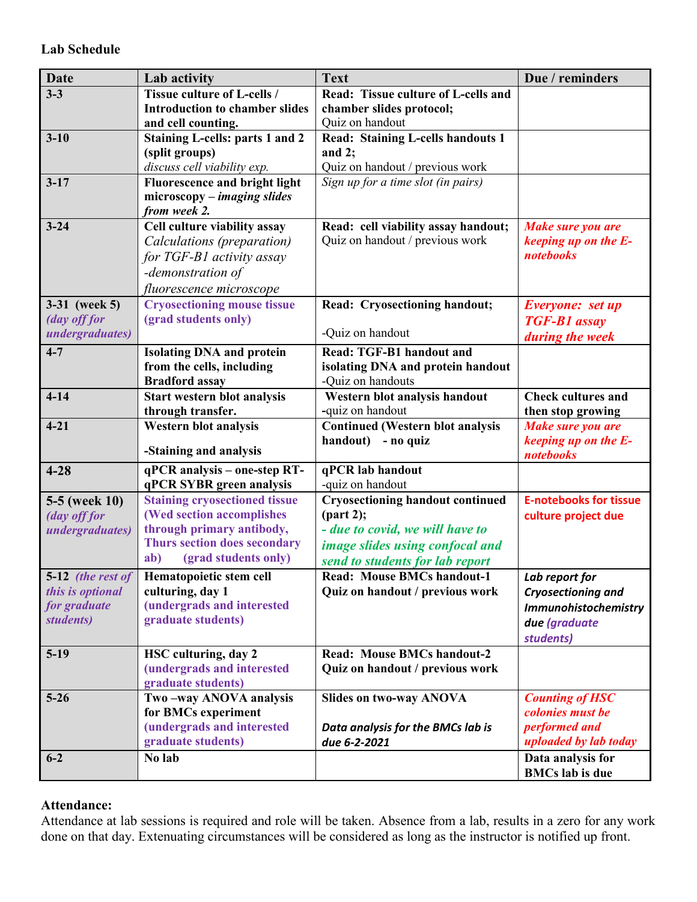| <b>Date</b>               | Lab activity                                       | <b>Text</b>                                                          | Due / reminders                   |
|---------------------------|----------------------------------------------------|----------------------------------------------------------------------|-----------------------------------|
| $3 - 3$                   | <b>Tissue culture of L-cells /</b>                 | Read: Tissue culture of L-cells and                                  |                                   |
|                           | <b>Introduction to chamber slides</b>              | chamber slides protocol;                                             |                                   |
|                           | and cell counting.                                 | Quiz on handout                                                      |                                   |
| $3 - 10$                  | <b>Staining L-cells: parts 1 and 2</b>             | <b>Read: Staining L-cells handouts 1</b>                             |                                   |
|                           | (split groups)                                     | and $2$ ;                                                            |                                   |
|                           | discuss cell viability exp.                        | Quiz on handout / previous work                                      |                                   |
| $3 - 17$                  | <b>Fluorescence and bright light</b>               | Sign up for a time slot (in pairs)                                   |                                   |
|                           | $microscopy - imaging slides$<br>from week 2.      |                                                                      |                                   |
| $3 - 24$                  | Cell culture viability assay                       | Read: cell viability assay handout;                                  | Make sure you are                 |
|                           | Calculations (preparation)                         | Quiz on handout / previous work                                      | keeping up on the E-              |
|                           | for TGF-B1 activity assay                          |                                                                      | notebooks                         |
|                           | -demonstration of                                  |                                                                      |                                   |
|                           | fluorescence microscope                            |                                                                      |                                   |
| 3-31 (week 5)             | <b>Cryosectioning mouse tissue</b>                 | Read: Cryosectioning handout;                                        | Everyone: set up                  |
| (day off for              | (grad students only)                               |                                                                      | <b>TGF-B1</b> assay               |
| <i>undergraduates</i> )   |                                                    | -Quiz on handout                                                     | during the week                   |
| $4 - 7$                   | <b>Isolating DNA and protein</b>                   | <b>Read: TGF-B1 handout and</b>                                      |                                   |
|                           | from the cells, including                          | isolating DNA and protein handout                                    |                                   |
|                           | <b>Bradford assay</b>                              | -Quiz on handouts                                                    |                                   |
| $4 - 14$                  | Start western blot analysis                        | Western blot analysis handout                                        | <b>Check cultures and</b>         |
|                           | through transfer.                                  | -quiz on handout                                                     | then stop growing                 |
| $4 - 21$                  | <b>Western blot analysis</b>                       | <b>Continued (Western blot analysis</b>                              | Make sure you are                 |
|                           | -Staining and analysis                             | handout) - no quiz                                                   | keeping up on the E-<br>notebooks |
| $4 - 28$                  | qPCR analysis - one-step RT-                       | qPCR lab handout                                                     |                                   |
|                           | qPCR SYBR green analysis                           | -quiz on handout                                                     |                                   |
| 5-5 (week 10)             | <b>Staining cryosectioned tissue</b>               | <b>Cryosectioning handout continued</b>                              | <b>E-notebooks for tissue</b>     |
| (day off for              | (Wed section accomplishes                          | ${\rm (part 2)}$ ;                                                   | culture project due               |
| <i>undergraduates</i> )   | through primary antibody,                          | - due to covid, we will have to                                      |                                   |
|                           | Thurs section does secondary                       | image slides using confocal and                                      |                                   |
|                           | (grad students only)<br>ab)                        | send to students for lab report                                      |                                   |
|                           | 5-12 <i>(the rest of</i> Hematopoietic stem cell   | <b>Read: Mouse BMCs handout-1</b>                                    | Lab report for                    |
| this is optional          | culturing, day 1                                   | Quiz on handout / previous work                                      | Cryosectioning and                |
| for graduate<br>students) | (undergrads and interested<br>graduate students)   |                                                                      | Immunohistochemistry              |
|                           |                                                    |                                                                      | due (graduate                     |
|                           |                                                    |                                                                      | students)                         |
| $5-19$                    | HSC culturing, day 2<br>(undergrads and interested | <b>Read: Mouse BMCs handout-2</b><br>Quiz on handout / previous work |                                   |
|                           | graduate students)                                 |                                                                      |                                   |
| $5 - 26$                  | Two-way ANOVA analysis                             | <b>Slides on two-way ANOVA</b>                                       | <b>Counting of HSC</b>            |
|                           | for BMCs experiment                                |                                                                      | colonies must be                  |
|                           | (undergrads and interested                         | Data analysis for the BMCs lab is                                    | performed and                     |
|                           | graduate students)                                 | due 6-2-2021                                                         | uploaded by lab today             |
| $6 - 2$                   | No lab                                             |                                                                      | Data analysis for                 |
|                           |                                                    |                                                                      | <b>BMCs</b> lab is due            |

#### **Attendance:**

Attendance at lab sessions is required and role will be taken. Absence from a lab, results in a zero for any work done on that day. Extenuating circumstances will be considered as long as the instructor is notified up front.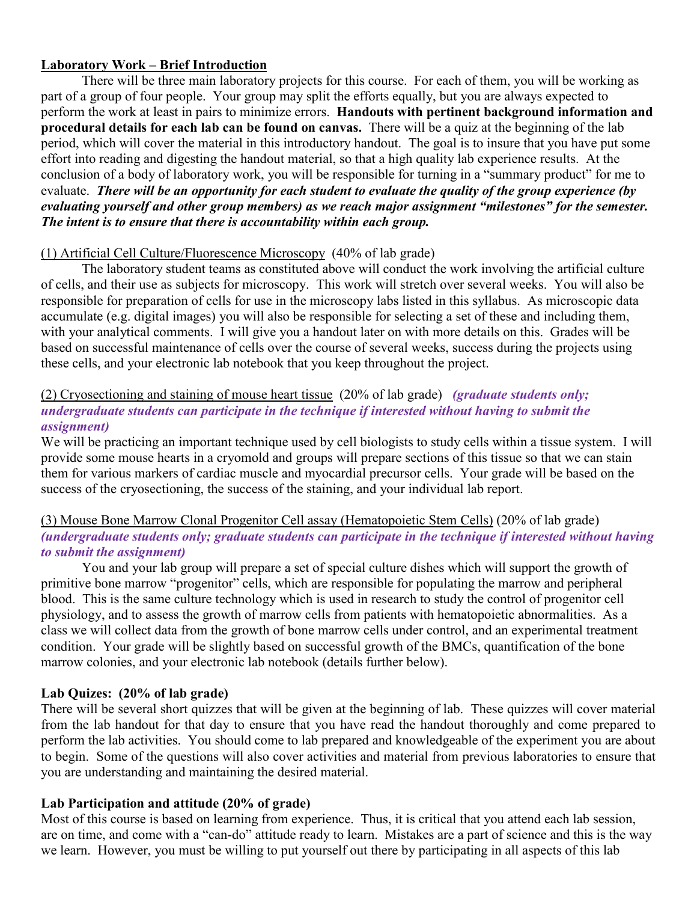#### **Laboratory Work – Brief Introduction**

There will be three main laboratory projects for this course. For each of them, you will be working as part of a group of four people. Your group may split the efforts equally, but you are always expected to perform the work at least in pairs to minimize errors. **Handouts with pertinent background information and procedural details for each lab can be found on canvas.** There will be a quiz at the beginning of the lab period, which will cover the material in this introductory handout. The goal is to insure that you have put some effort into reading and digesting the handout material, so that a high quality lab experience results. At the conclusion of a body of laboratory work, you will be responsible for turning in a "summary product" for me to evaluate. *There will be an opportunity for each student to evaluate the quality of the group experience (by evaluating yourself and other group members) as we reach major assignment "milestones" for the semester. The intent is to ensure that there is accountability within each group.* 

#### (1) Artificial Cell Culture/Fluorescence Microscopy (40% of lab grade)

The laboratory student teams as constituted above will conduct the work involving the artificial culture of cells, and their use as subjects for microscopy. This work will stretch over several weeks. You will also be responsible for preparation of cells for use in the microscopy labs listed in this syllabus. As microscopic data accumulate (e.g. digital images) you will also be responsible for selecting a set of these and including them, with your analytical comments. I will give you a handout later on with more details on this. Grades will be based on successful maintenance of cells over the course of several weeks, success during the projects using these cells, and your electronic lab notebook that you keep throughout the project.

#### (2) Cryosectioning and staining of mouse heart tissue (20% of lab grade) *(graduate students only; undergraduate students can participate in the technique if interested without having to submit the assignment)*

We will be practicing an important technique used by cell biologists to study cells within a tissue system. I will provide some mouse hearts in a cryomold and groups will prepare sections of this tissue so that we can stain them for various markers of cardiac muscle and myocardial precursor cells. Your grade will be based on the success of the cryosectioning, the success of the staining, and your individual lab report.

#### (3) Mouse Bone Marrow Clonal Progenitor Cell assay (Hematopoietic Stem Cells) (20% of lab grade) *(undergraduate students only; graduate students can participate in the technique if interested without having to submit the assignment)*

You and your lab group will prepare a set of special culture dishes which will support the growth of primitive bone marrow "progenitor" cells, which are responsible for populating the marrow and peripheral blood. This is the same culture technology which is used in research to study the control of progenitor cell physiology, and to assess the growth of marrow cells from patients with hematopoietic abnormalities. As a class we will collect data from the growth of bone marrow cells under control, and an experimental treatment condition. Your grade will be slightly based on successful growth of the BMCs, quantification of the bone marrow colonies, and your electronic lab notebook (details further below).

#### **Lab Quizes: (20% of lab grade)**

There will be several short quizzes that will be given at the beginning of lab. These quizzes will cover material from the lab handout for that day to ensure that you have read the handout thoroughly and come prepared to perform the lab activities. You should come to lab prepared and knowledgeable of the experiment you are about to begin. Some of the questions will also cover activities and material from previous laboratories to ensure that you are understanding and maintaining the desired material.

#### **Lab Participation and attitude (20% of grade)**

Most of this course is based on learning from experience. Thus, it is critical that you attend each lab session, are on time, and come with a "can-do" attitude ready to learn. Mistakes are a part of science and this is the way we learn. However, you must be willing to put yourself out there by participating in all aspects of this lab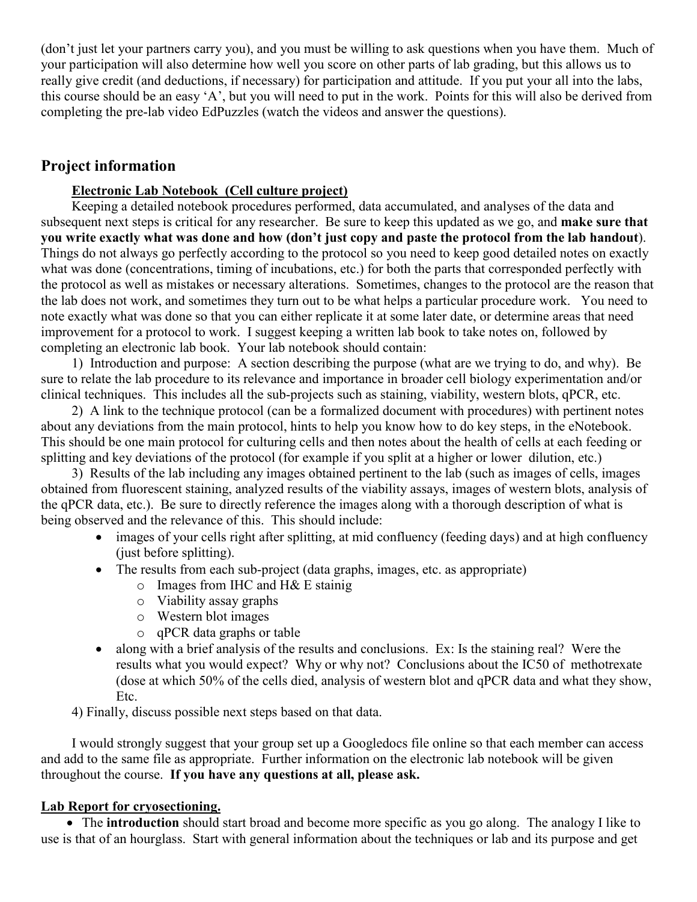(don't just let your partners carry you), and you must be willing to ask questions when you have them. Much of your participation will also determine how well you score on other parts of lab grading, but this allows us to really give credit (and deductions, if necessary) for participation and attitude. If you put your all into the labs, this course should be an easy 'A', but you will need to put in the work. Points for this will also be derived from completing the pre-lab video EdPuzzles (watch the videos and answer the questions).

## **Project information**

#### **Electronic Lab Notebook (Cell culture project)**

Keeping a detailed notebook procedures performed, data accumulated, and analyses of the data and subsequent next steps is critical for any researcher. Be sure to keep this updated as we go, and **make sure that you write exactly what was done and how (don't just copy and paste the protocol from the lab handout**). Things do not always go perfectly according to the protocol so you need to keep good detailed notes on exactly what was done (concentrations, timing of incubations, etc.) for both the parts that corresponded perfectly with the protocol as well as mistakes or necessary alterations. Sometimes, changes to the protocol are the reason that the lab does not work, and sometimes they turn out to be what helps a particular procedure work. You need to note exactly what was done so that you can either replicate it at some later date, or determine areas that need improvement for a protocol to work. I suggest keeping a written lab book to take notes on, followed by completing an electronic lab book. Your lab notebook should contain:

1) Introduction and purpose: A section describing the purpose (what are we trying to do, and why). Be sure to relate the lab procedure to its relevance and importance in broader cell biology experimentation and/or clinical techniques. This includes all the sub-projects such as staining, viability, western blots, qPCR, etc.

2) A link to the technique protocol (can be a formalized document with procedures) with pertinent notes about any deviations from the main protocol, hints to help you know how to do key steps, in the eNotebook. This should be one main protocol for culturing cells and then notes about the health of cells at each feeding or splitting and key deviations of the protocol (for example if you split at a higher or lower dilution, etc.)

3) Results of the lab including any images obtained pertinent to the lab (such as images of cells, images obtained from fluorescent staining, analyzed results of the viability assays, images of western blots, analysis of the qPCR data, etc.). Be sure to directly reference the images along with a thorough description of what is being observed and the relevance of this. This should include:

- images of your cells right after splitting, at mid confluency (feeding days) and at high confluency (just before splitting).
- The results from each sub-project (data graphs, images, etc. as appropriate)
	- $\circ$  Images from IHC and H& E stainig
	- o Viability assay graphs
	- o Western blot images
	- o qPCR data graphs or table
- along with a brief analysis of the results and conclusions. Ex: Is the staining real? Were the results what you would expect? Why or why not? Conclusions about the IC50 of methotrexate (dose at which 50% of the cells died, analysis of western blot and qPCR data and what they show, Etc.

4) Finally, discuss possible next steps based on that data.

I would strongly suggest that your group set up a Googledocs file online so that each member can access and add to the same file as appropriate. Further information on the electronic lab notebook will be given throughout the course. **If you have any questions at all, please ask.** 

#### **Lab Report for cryosectioning.**

• The **introduction** should start broad and become more specific as you go along. The analogy I like to use is that of an hourglass. Start with general information about the techniques or lab and its purpose and get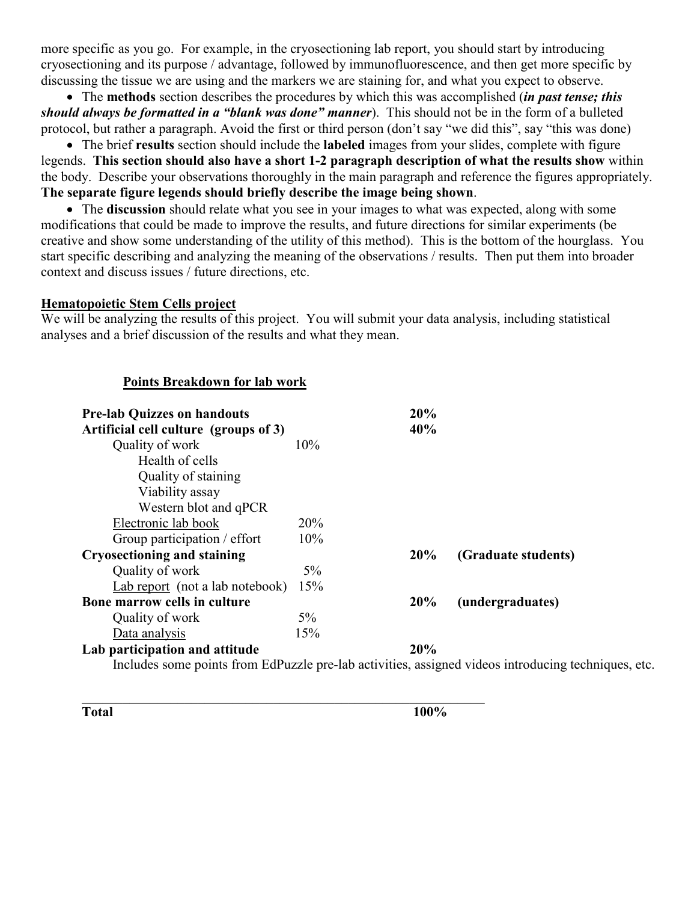more specific as you go. For example, in the cryosectioning lab report, you should start by introducing cryosectioning and its purpose / advantage, followed by immunofluorescence, and then get more specific by discussing the tissue we are using and the markers we are staining for, and what you expect to observe.

• The **methods** section describes the procedures by which this was accomplished (*in past tense; this should always be formatted in a "blank was done" manner*). This should not be in the form of a bulleted protocol, but rather a paragraph. Avoid the first or third person (don't say "we did this", say "this was done)

• The brief **results** section should include the **labeled** images from your slides, complete with figure legends. **This section should also have a short 1-2 paragraph description of what the results show** within the body. Describe your observations thoroughly in the main paragraph and reference the figures appropriately. **The separate figure legends should briefly describe the image being shown**.

• The **discussion** should relate what you see in your images to what was expected, along with some modifications that could be made to improve the results, and future directions for similar experiments (be creative and show some understanding of the utility of this method). This is the bottom of the hourglass. You start specific describing and analyzing the meaning of the observations / results. Then put them into broader context and discuss issues / future directions, etc.

#### **Hematopoietic Stem Cells project**

We will be analyzing the results of this project. You will submit your data analysis, including statistical analyses and a brief discussion of the results and what they mean.

#### **Points Breakdown for lab work**

| <b>Pre-lab Quizzes on handouts</b>                                                                  |       | 20% |                     |  |  |
|-----------------------------------------------------------------------------------------------------|-------|-----|---------------------|--|--|
| Artificial cell culture (groups of 3)                                                               |       | 40% |                     |  |  |
| Quality of work                                                                                     | 10%   |     |                     |  |  |
| Health of cells                                                                                     |       |     |                     |  |  |
| Quality of staining                                                                                 |       |     |                     |  |  |
| Viability assay                                                                                     |       |     |                     |  |  |
| Western blot and qPCR                                                                               |       |     |                     |  |  |
| Electronic lab book                                                                                 | 20%   |     |                     |  |  |
| Group participation / effort                                                                        | 10%   |     |                     |  |  |
| <b>Cryosectioning and staining</b>                                                                  |       | 20% | (Graduate students) |  |  |
| Quality of work                                                                                     | 5%    |     |                     |  |  |
| Lab report (not a lab notebook)                                                                     | 15%   |     |                     |  |  |
| Bone marrow cells in culture                                                                        |       | 20% | (undergraduates)    |  |  |
| Quality of work                                                                                     | $5\%$ |     |                     |  |  |
| Data analysis                                                                                       | 15%   |     |                     |  |  |
| Lab participation and attitude                                                                      |       | 20% |                     |  |  |
| Includes some points from EdPuzzle pre-lab activities, assigned videos introducing techniques, etc. |       |     |                     |  |  |

\_\_\_\_\_\_\_\_\_\_\_\_\_\_\_\_\_\_\_\_\_\_\_\_\_\_\_\_\_\_\_\_\_\_\_\_\_\_\_\_\_\_\_\_\_\_\_\_\_\_\_\_\_\_\_\_\_\_\_

**Total 100%**